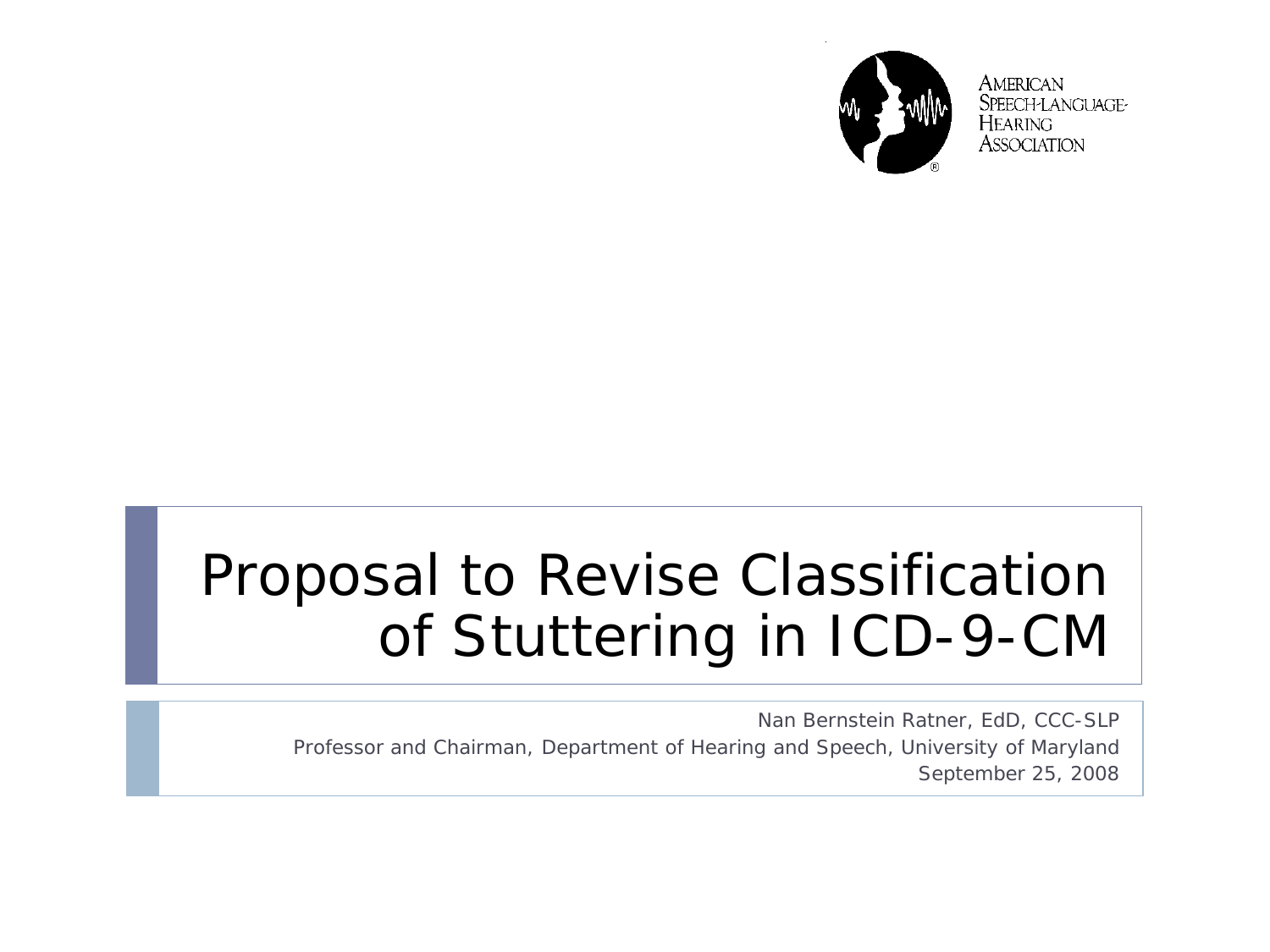

**AMERICAN** SPEECH-LANGUAGE-**HEARING** ASSOCIATION

## Proposal to Revise Classification of Stuttering in ICD-9-CM

Nan Bernstein Ratner, EdD, CCC-SLP Professor and Chairman, Department of Hearing and Speech, University of Maryland September 25, 2008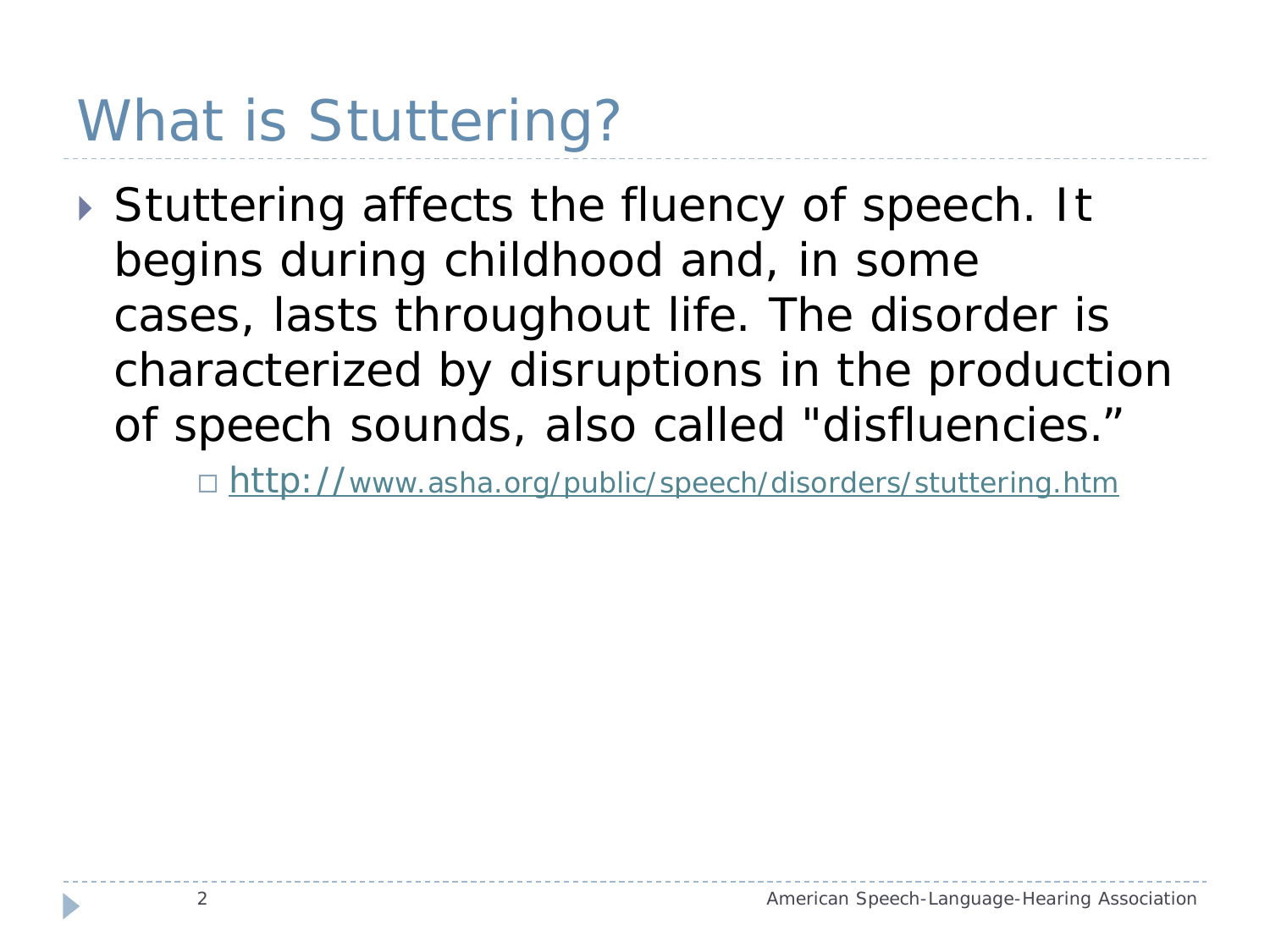# What is Stuttering?

▶ Stuttering affects the fluency of speech. It begins during childhood and, in some cases, lasts throughout life. The disorder is characterized by disruptions in the production of speech sounds, also called "disfluencies."

□ <http://www.asha.org/public/speech/disorders/stuttering.htm>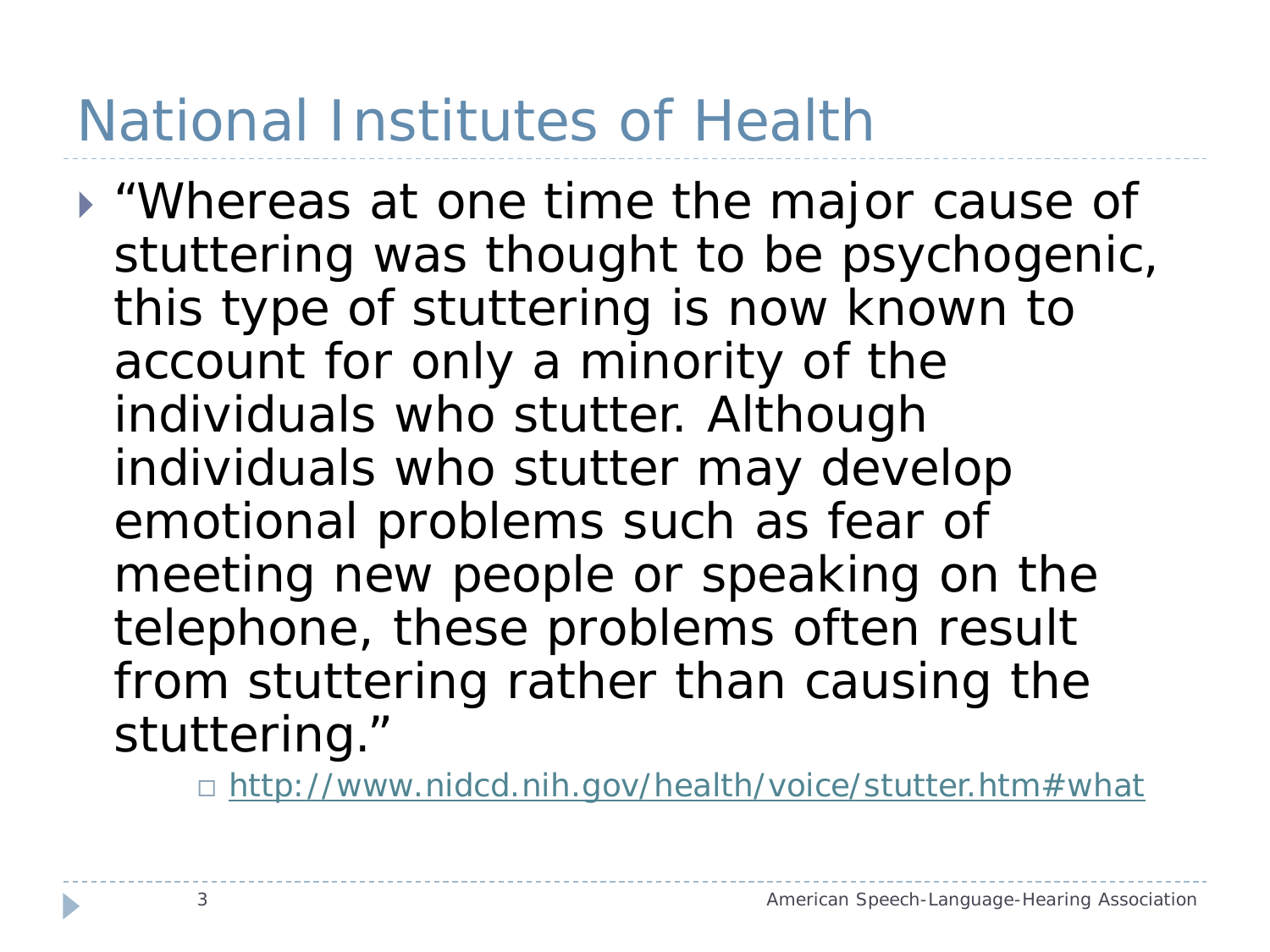# National Institutes of Health

 "Whereas at one time the major cause of stuttering was thought to be psychogenic, this type of stuttering is now known to account for only a minority of the individuals who stutter. Although individuals who stutter may develop emotional problems such as fear of meeting new people or speaking on the telephone, these problems often result from stuttering rather than causing the stuttering."

□ [http://www.nidcd.nih.gov/health/voice/stutter.htm#what](http://www.nidcd.nih.gov/health/voice/stutter.htm)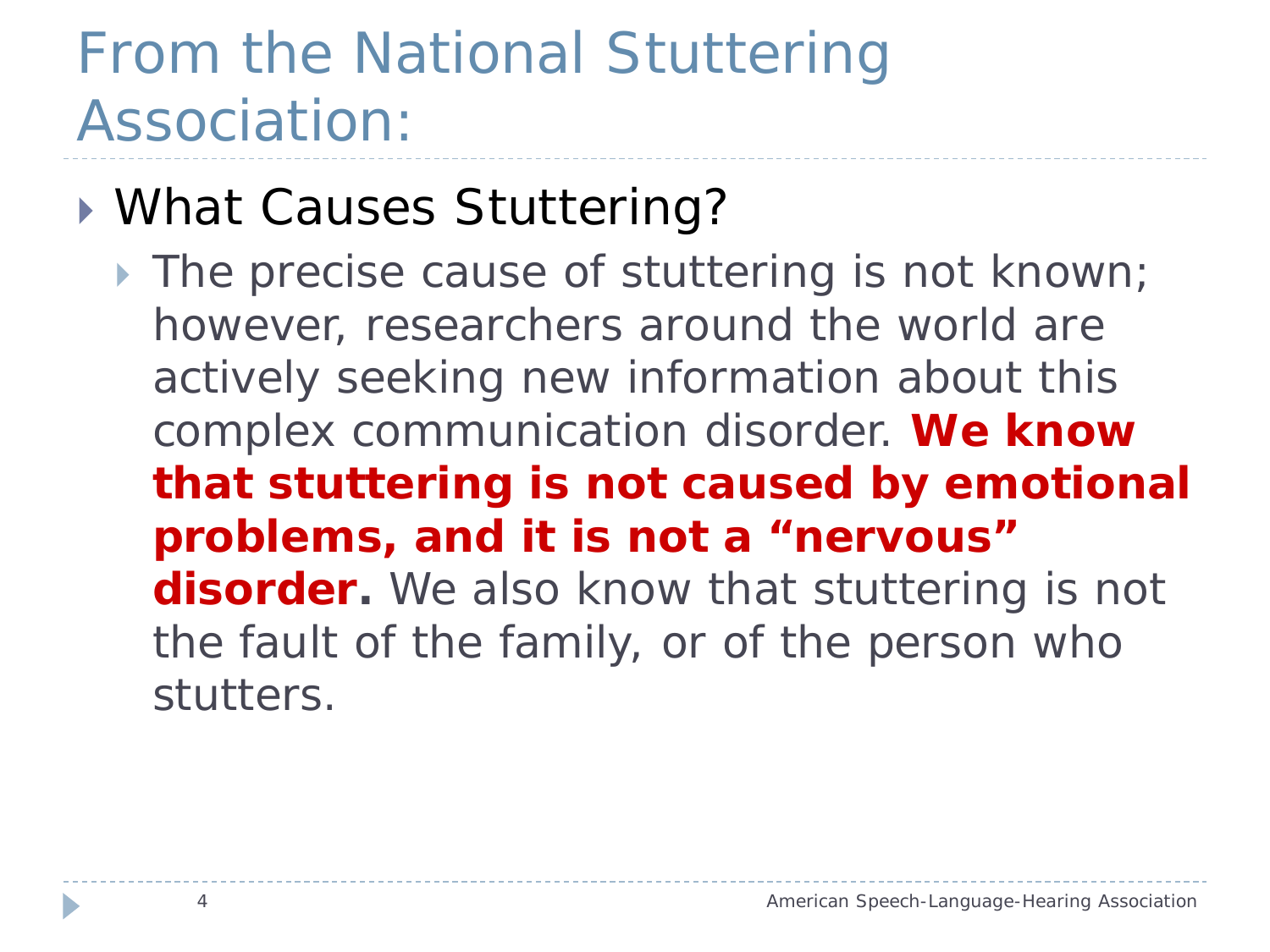# From the National Stuttering Association:

#### ▶ What Causes Stuttering?

The precise cause of stuttering is not known; however, researchers around the world are actively seeking new information about this complex communication disorder. *We know that stuttering is not caused by emotional problems, and it is not a "nervous" disorder.* We also know that stuttering is not the fault of the family, or of the person who stutters.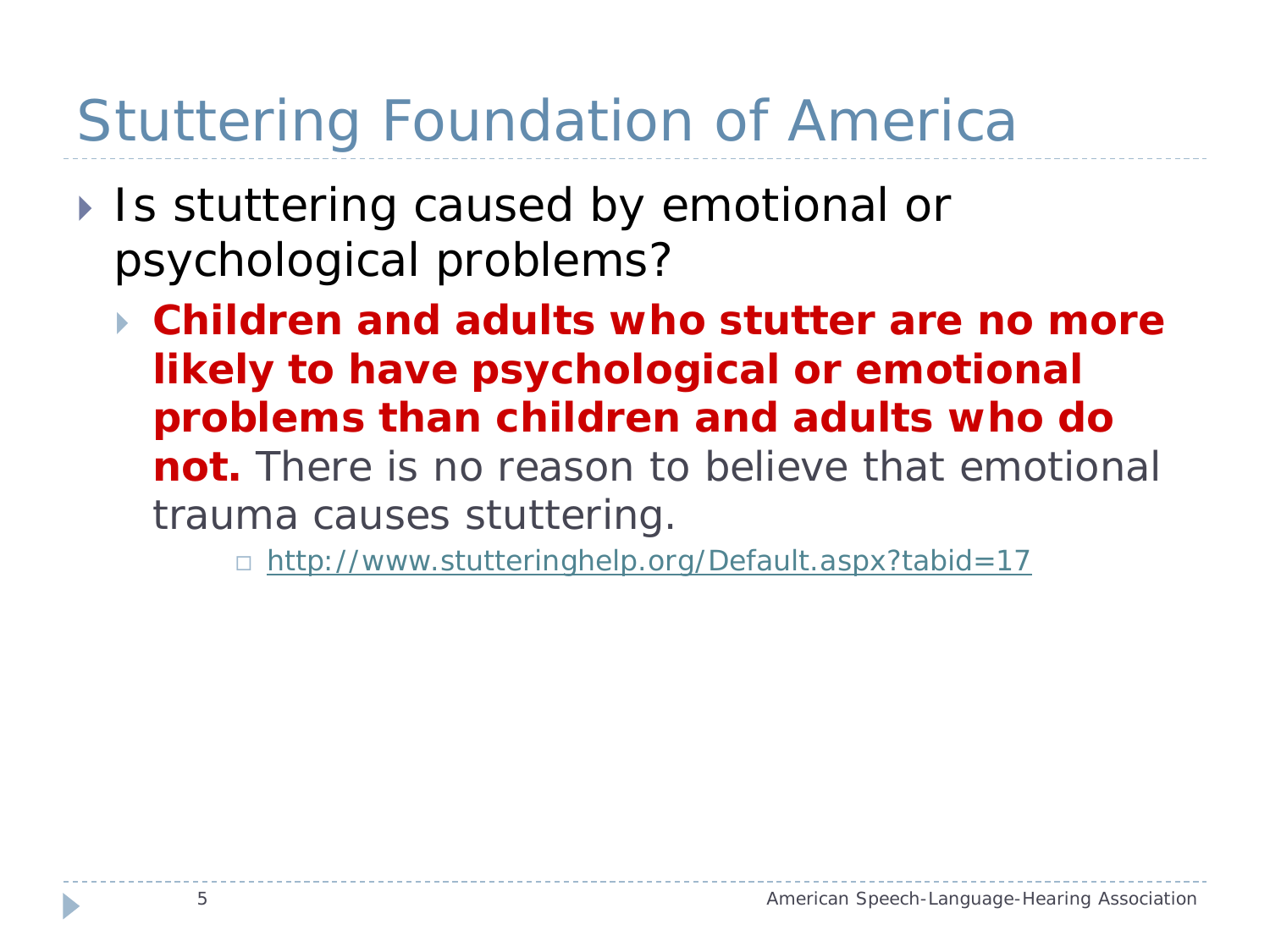# Stuttering Foundation of America

- ▶ Is stuttering caused by emotional or psychological problems?
	- *Children and adults who stutter are no more likely to have psychological or emotional problems than children and adults who do not.* There is no reason to believe that emotional trauma causes stuttering.

□ <http://www.stutteringhelp.org/Default.aspx?tabid=17>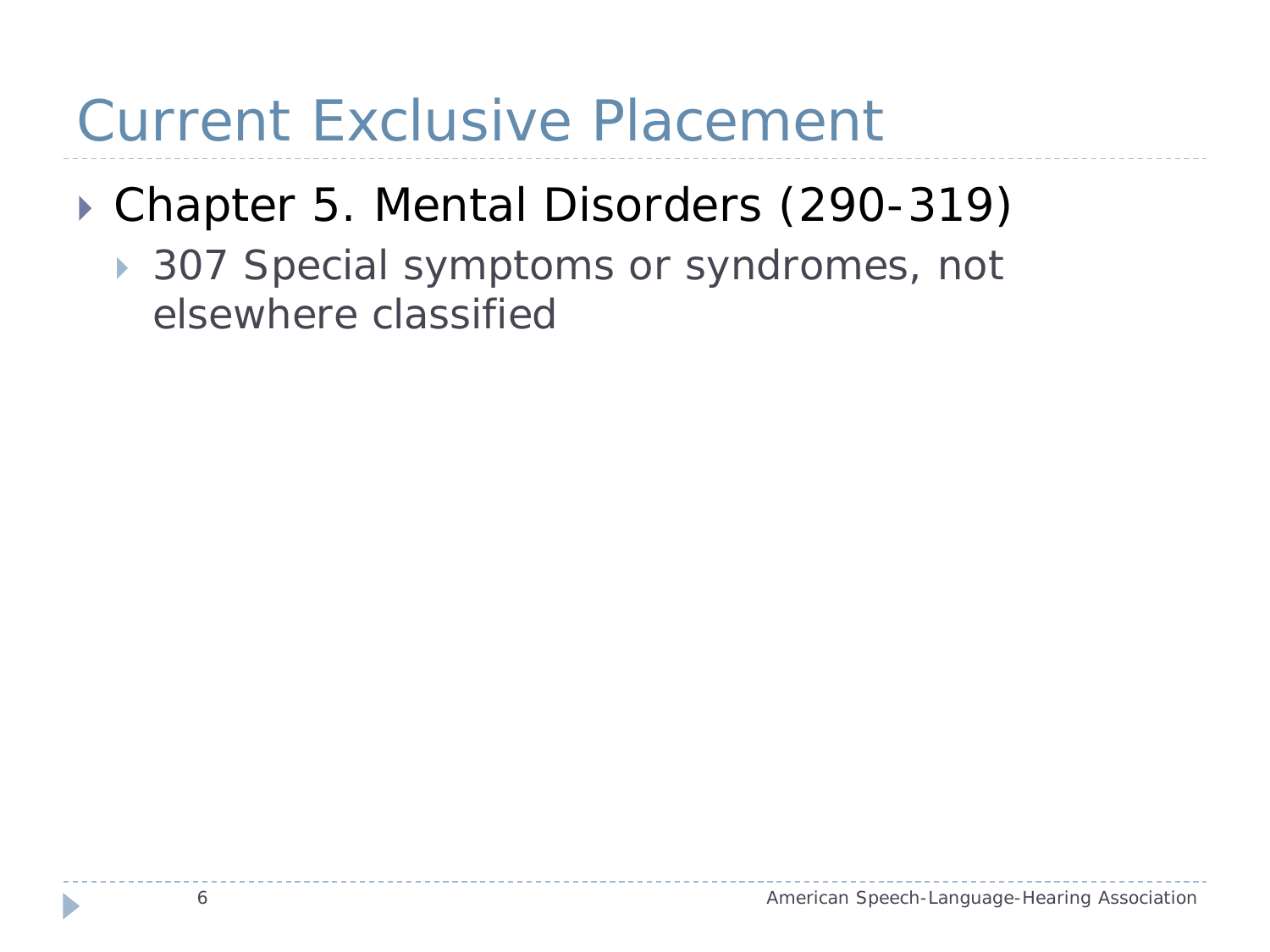#### Current Exclusive Placement

#### ▶ Chapter 5. Mental Disorders (290-319)

▶ 307 Special symptoms or syndromes, not elsewhere classified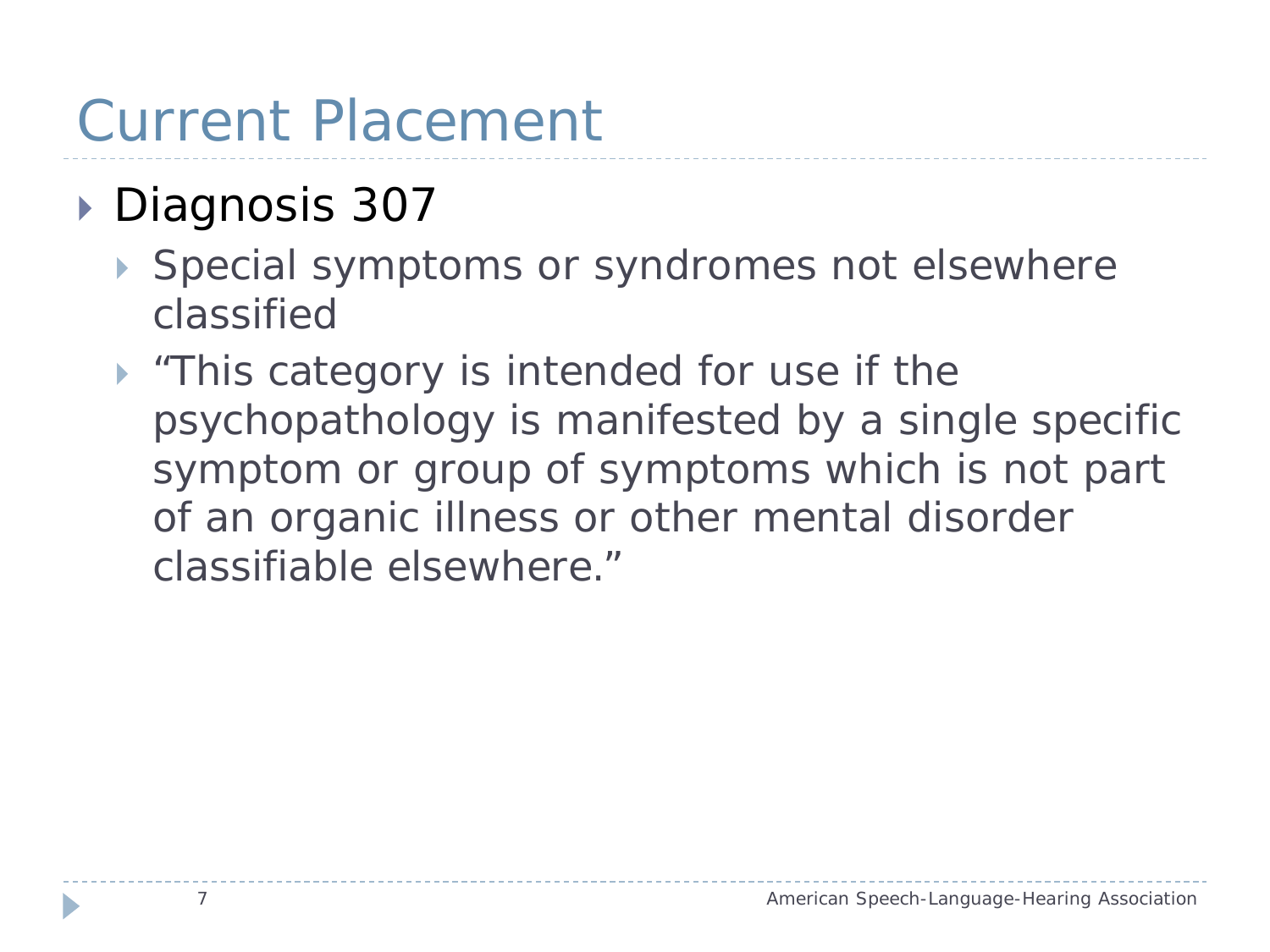#### Current Placement

#### ▶ Diagnosis 307

- Special symptoms or syndromes not elsewhere classified
- **Fig.** This category is intended for use if the psychopathology is manifested by a single specific symptom or group of symptoms which is not part of an organic illness or other mental disorder classifiable elsewhere."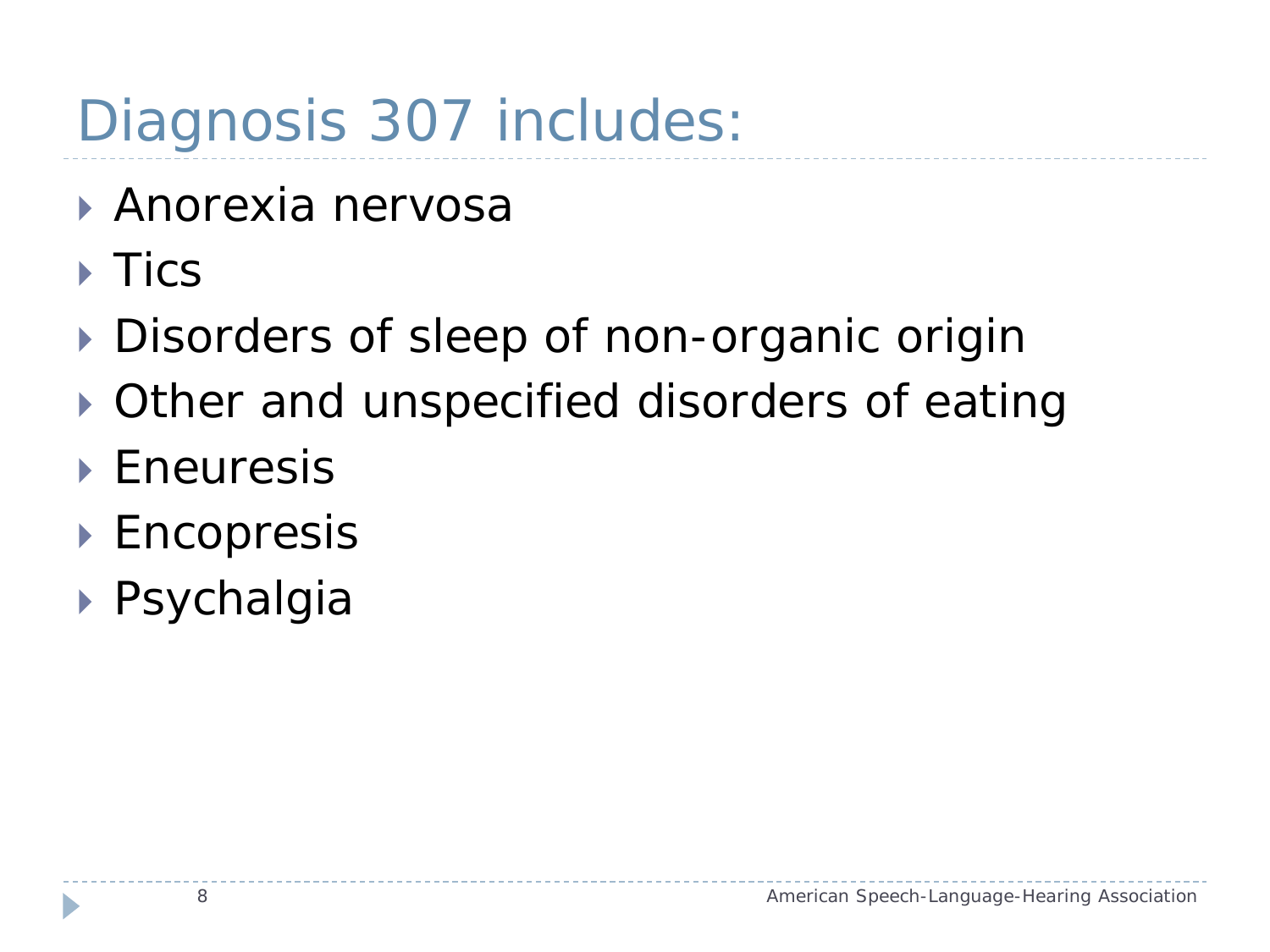# Diagnosis 307 includes:

- Anorexia nervosa
- $\triangleright$  Tics
- Disorders of sleep of non-organic origin
- Other and unspecified disorders of eating
- ▶ Eneuresis
- ▶ Encopresis
- Psychalgia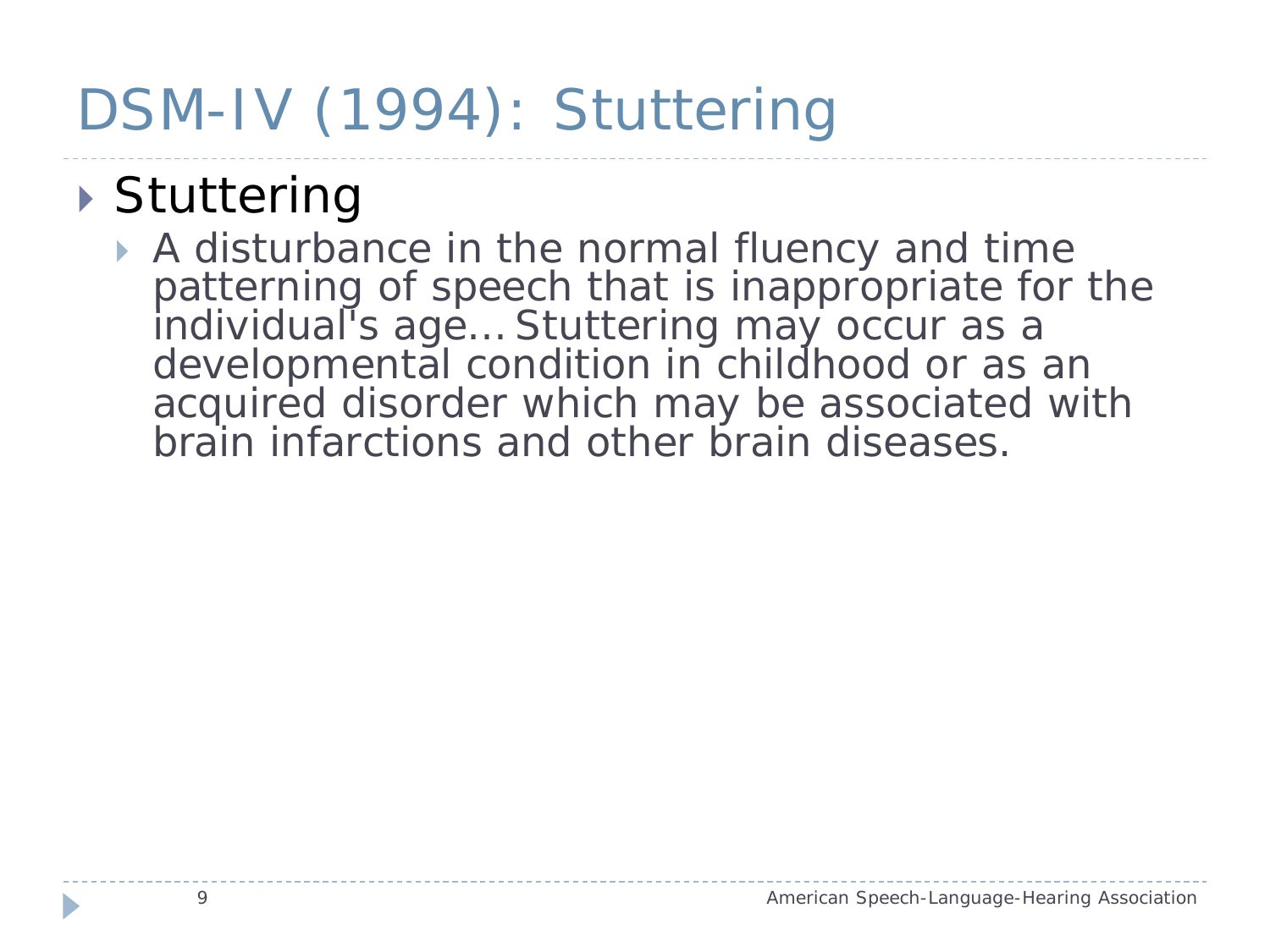# DSM-IV (1994): Stuttering

#### ▶ Stuttering

A disturbance in the normal fluency and time patterning of speech that is inappropriate for the individual's age... Stuttering may occur as a developmental condition in childhood or as an acquired disorder which may be associated with brain infarctions and other brain diseases.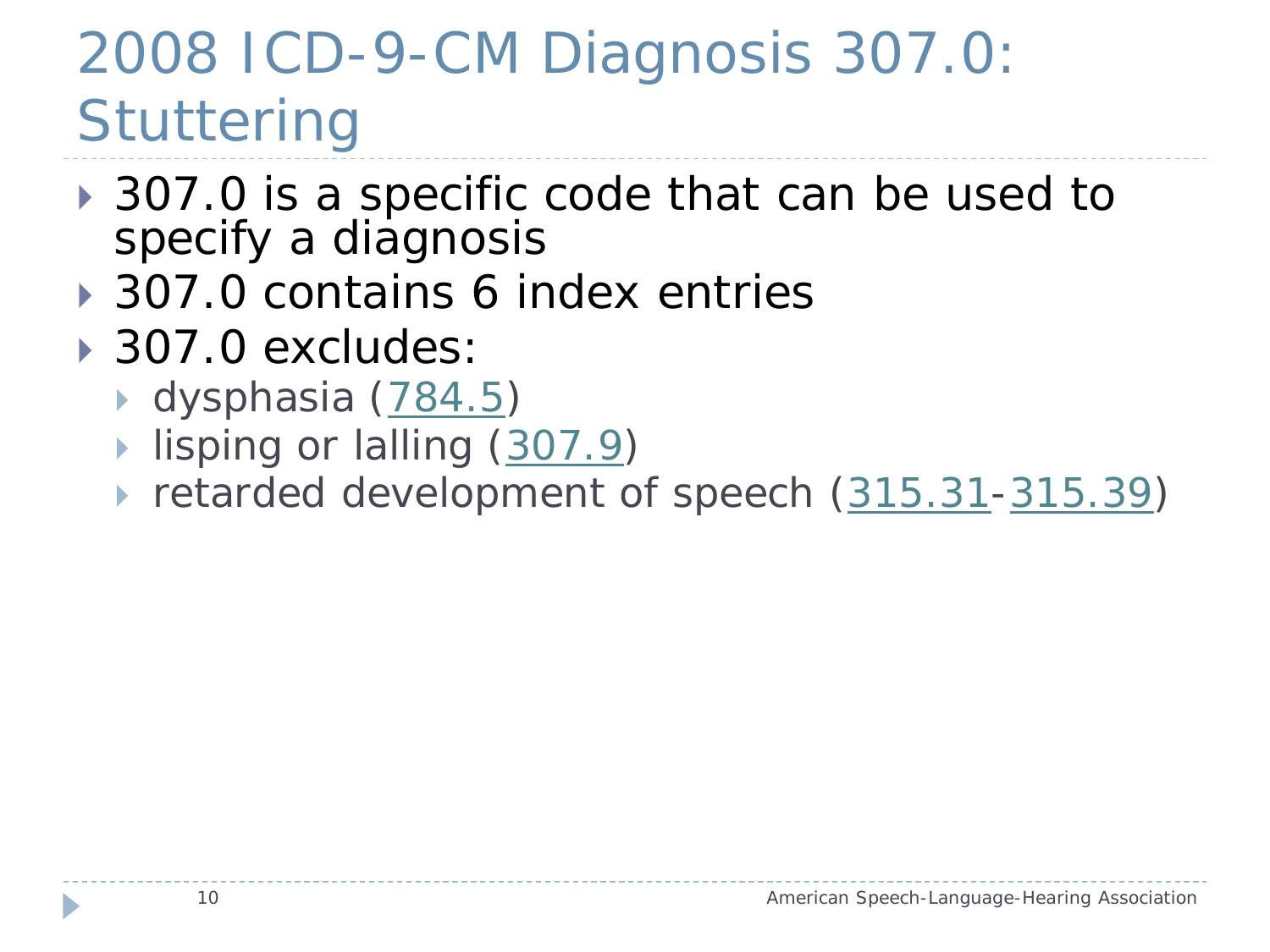# 2008 ICD-9-CM Diagnosis 307.0: **Stuttering**

- **307.0 is a specific code that can be used to** specify a diagnosis
- **▶ 307.0 contains 6 index entries**
- 307.0 excludes:
	- ▶ dysphasia ([784.5\)](http://www.icd9data.com/2008/Volume1/780-799/780-789/784/784.5.htm)
	- lisping or lalling ([307.9\)](http://www.icd9data.com/2008/Volume1/290-319/300-316/307/307.9.htm)
	- retarded development of speech [\(315.31](http://www.icd9data.com/2008/Volume1/290-319/300-316/315/315.31.htm)[-315.39](http://www.icd9data.com/2008/Volume1/290-319/300-316/315/315.39.htm))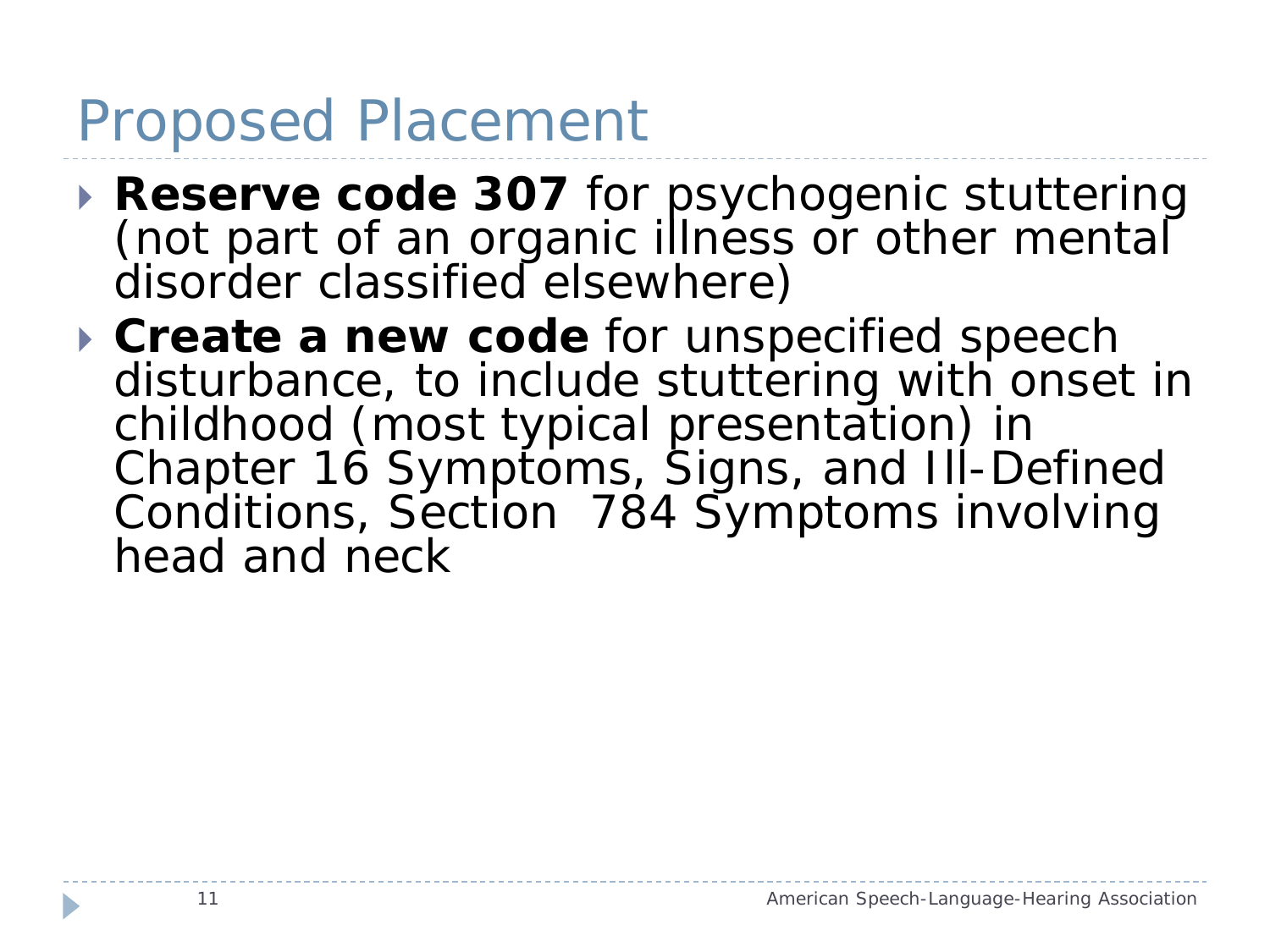#### Proposed Placement

- **Reserve code 307** for psychogenic stuttering (not part of an organic illness or other mental disorder classified elsewhere)
- **Create a new code** for unspecified speech disturbance, to include stuttering with onset in childhood (most typical presentation) in Chapter 16 Symptoms, Signs, and Ill-Defined Conditions, Section 784 Symptoms involving head and neck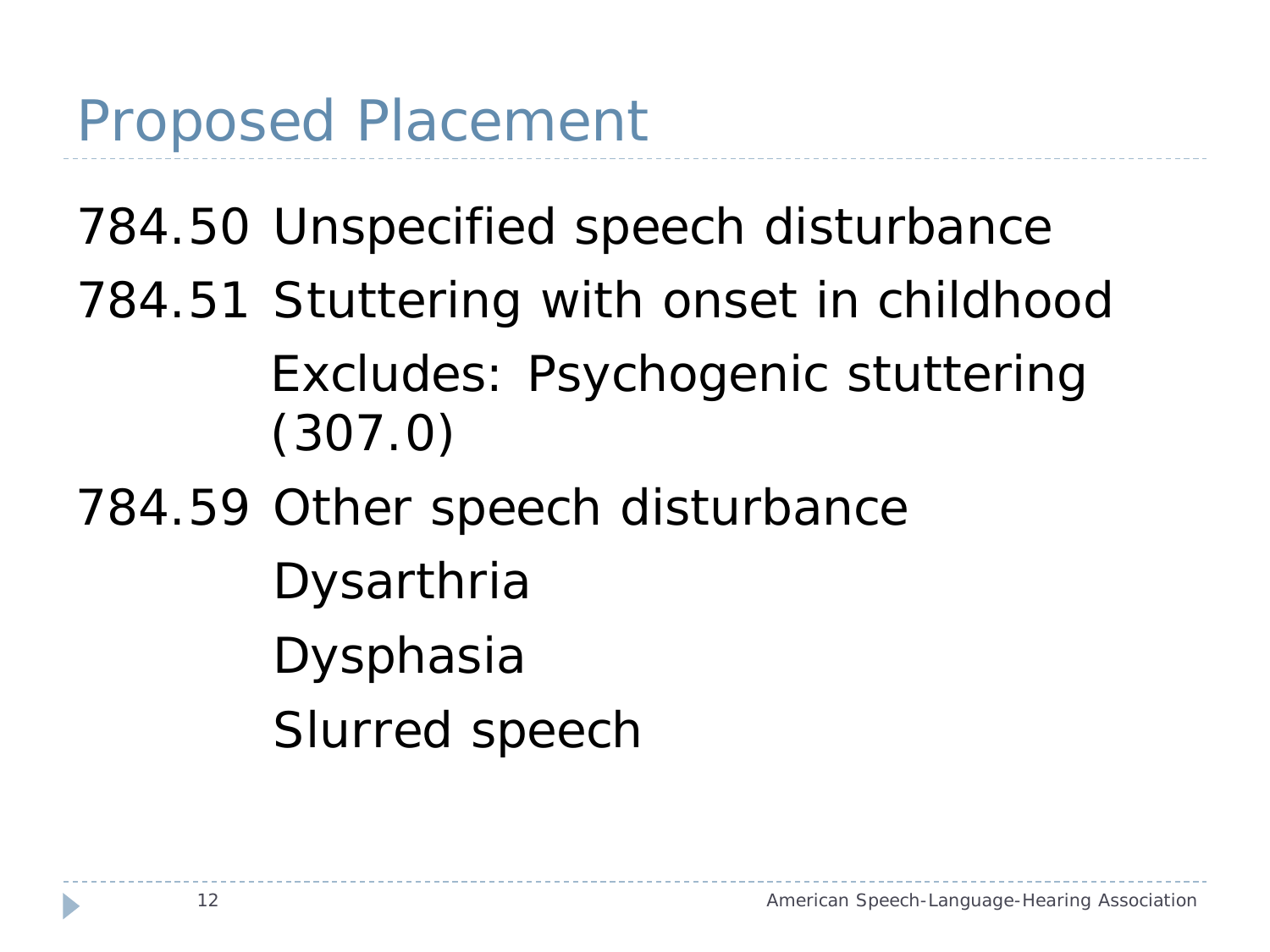# 784.50 Unspecified speech disturbance 784.51 Stuttering with onset in childhood Excludes: Psychogenic stuttering (307.0)

784.59 Other speech disturbance

Dysarthria Dysphasia Slurred speech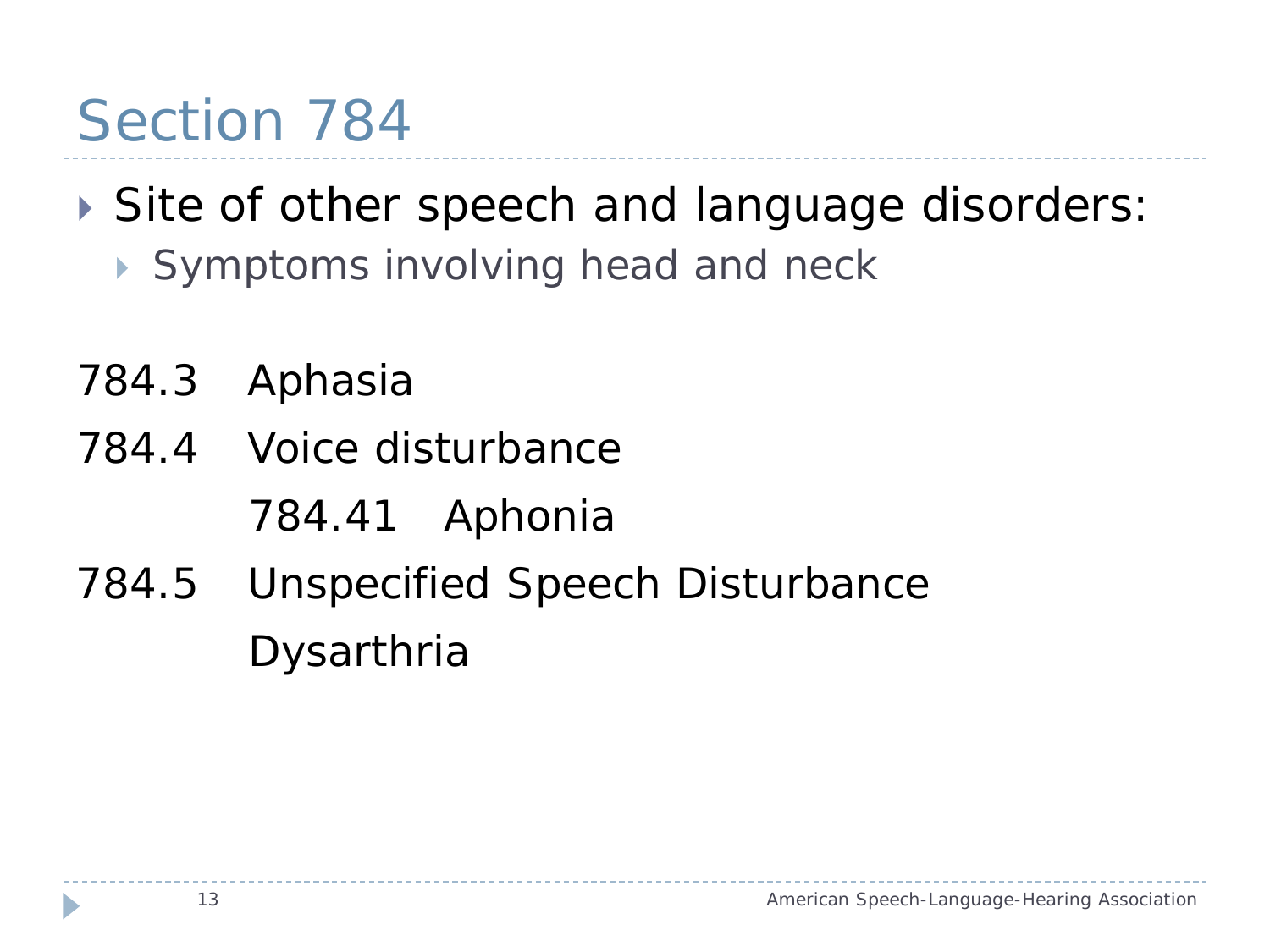#### Section 784

# Site of other speech and language disorders:

- Symptoms involving head and neck
- 784.3 Aphasia
- 784.4 Voice disturbance
	- 784.41 Aphonia
- 784.5 Unspecified Speech Disturbance Dysarthria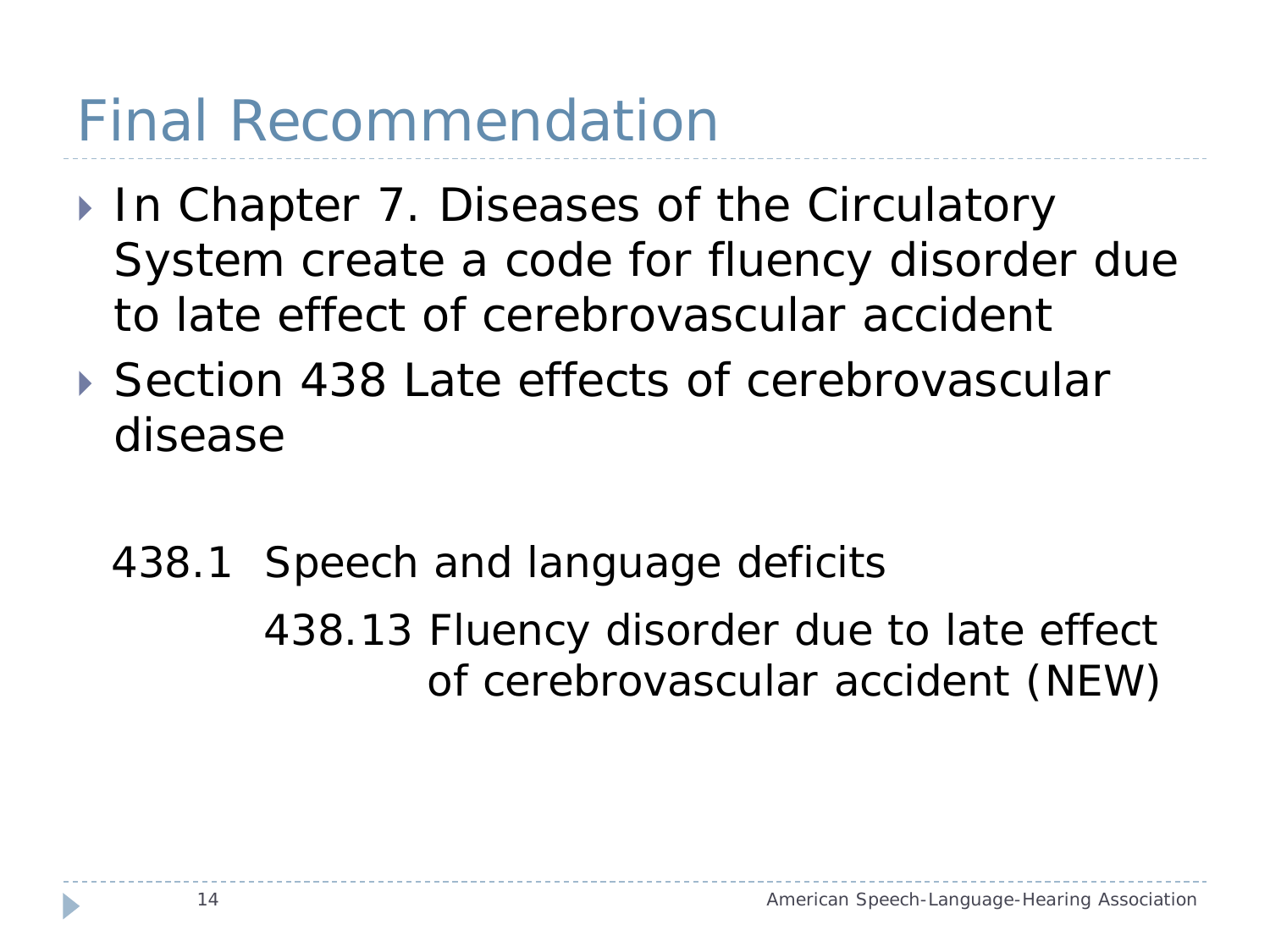# Final Recommendation

- ▶ In Chapter 7. Diseases of the Circulatory System create a code for fluency disorder due to late effect of cerebrovascular accident
- ▶ Section 438 Late effects of cerebrovascular disease
	- 438.1 Speech and language deficits 438.13 Fluency disorder due to late effect of cerebrovascular accident (NEW)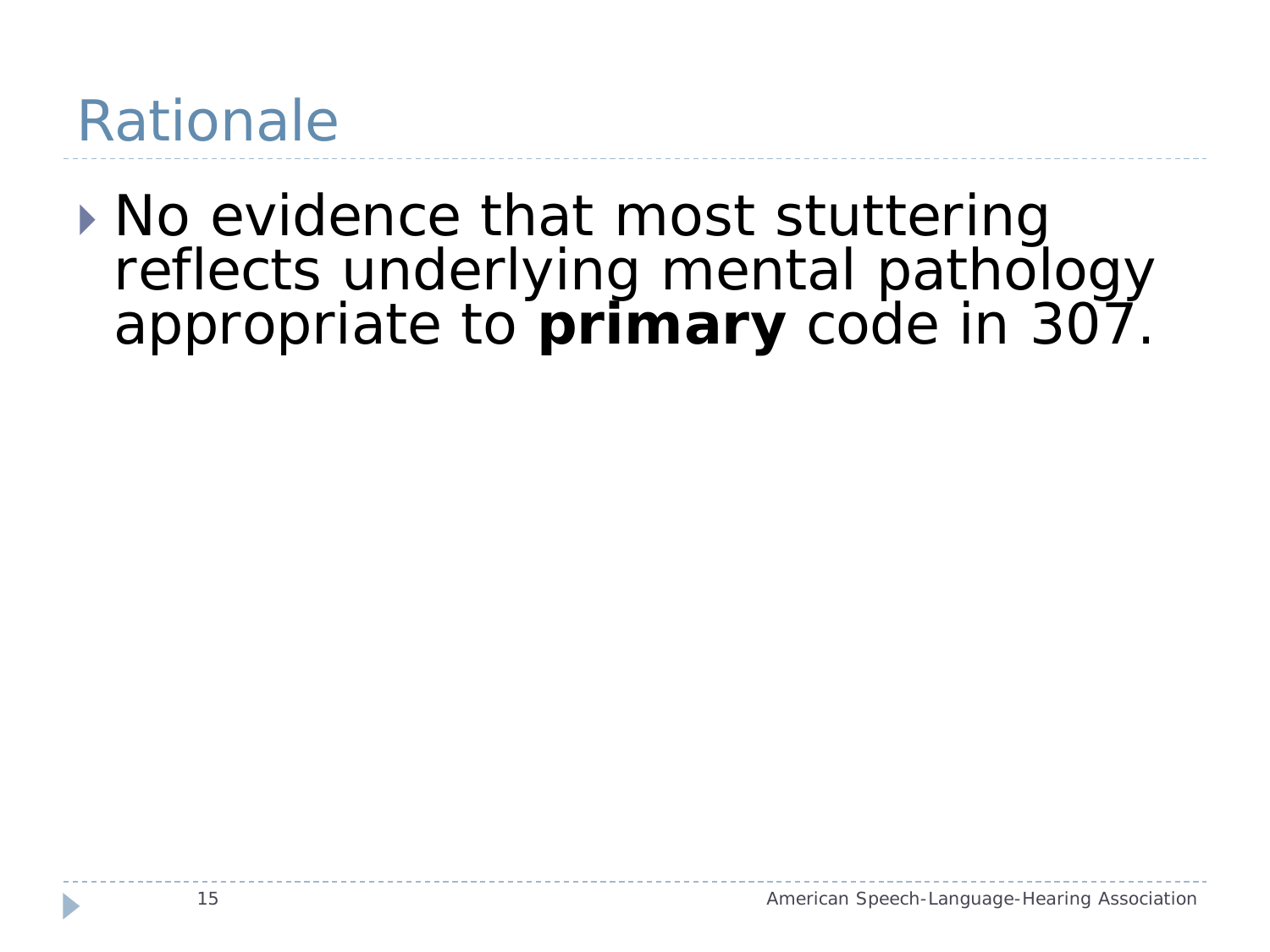#### Rationale

▶ No evidence that most stuttering reflects underlying mental pathology appropriate to **primary** code in 307.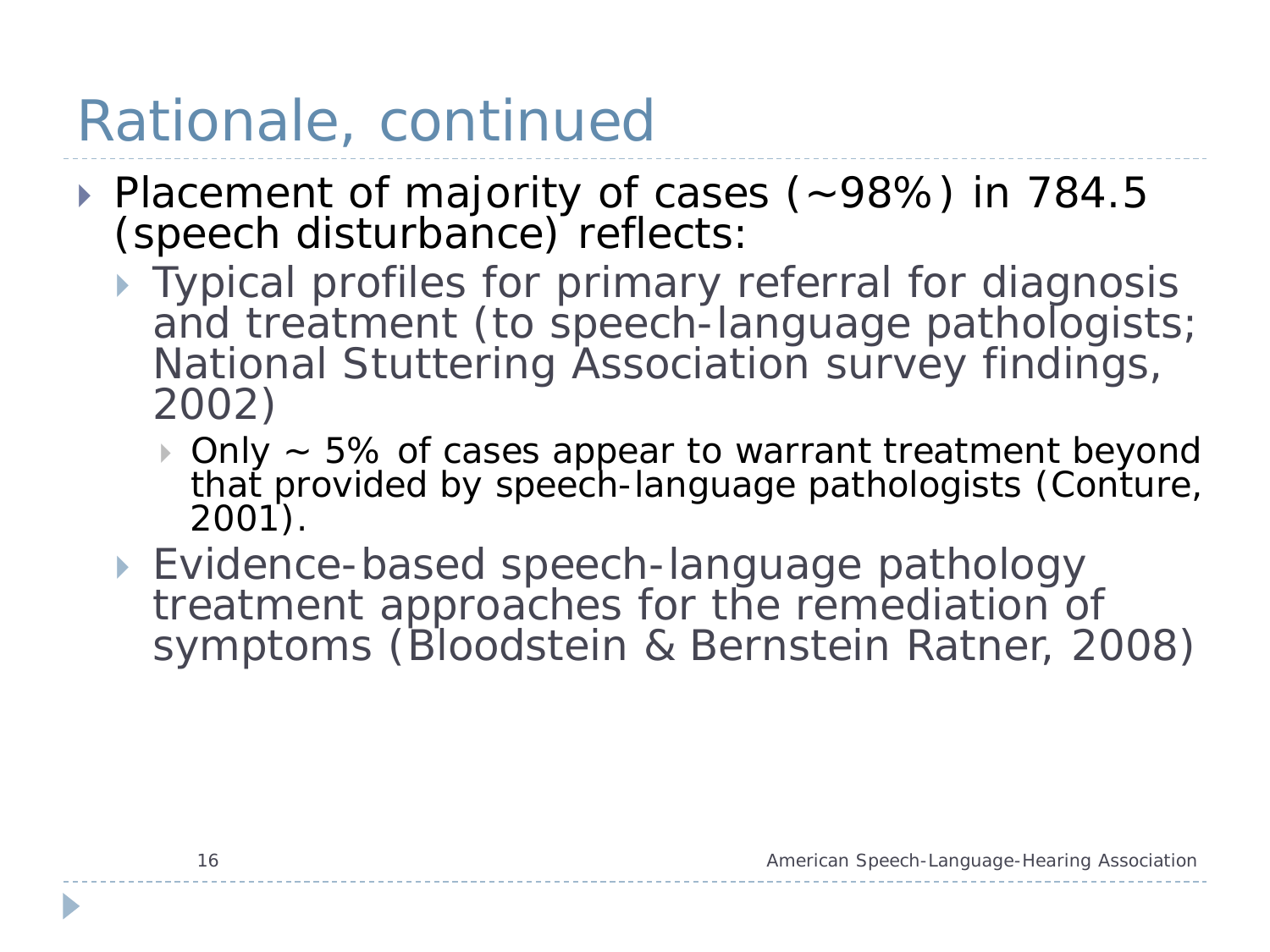# Rationale, continued

- Placement of majority of cases (~98%) in 784.5 (speech disturbance) reflects:
	- ▶ Typical profiles for primary referral for diagnosis and treatment (to speech-language pathologists; National Stuttering Association survey findings, 2002)
		- ▶ Only ~ 5% of cases appear to warrant treatment beyond thať provided by speech-language pathologists (Conture,<br>2001).
	- Evidence-based speech-language pathology treatment approaches for the remediation of symptoms (Bloodstein & Bernstein Ratner, 2008)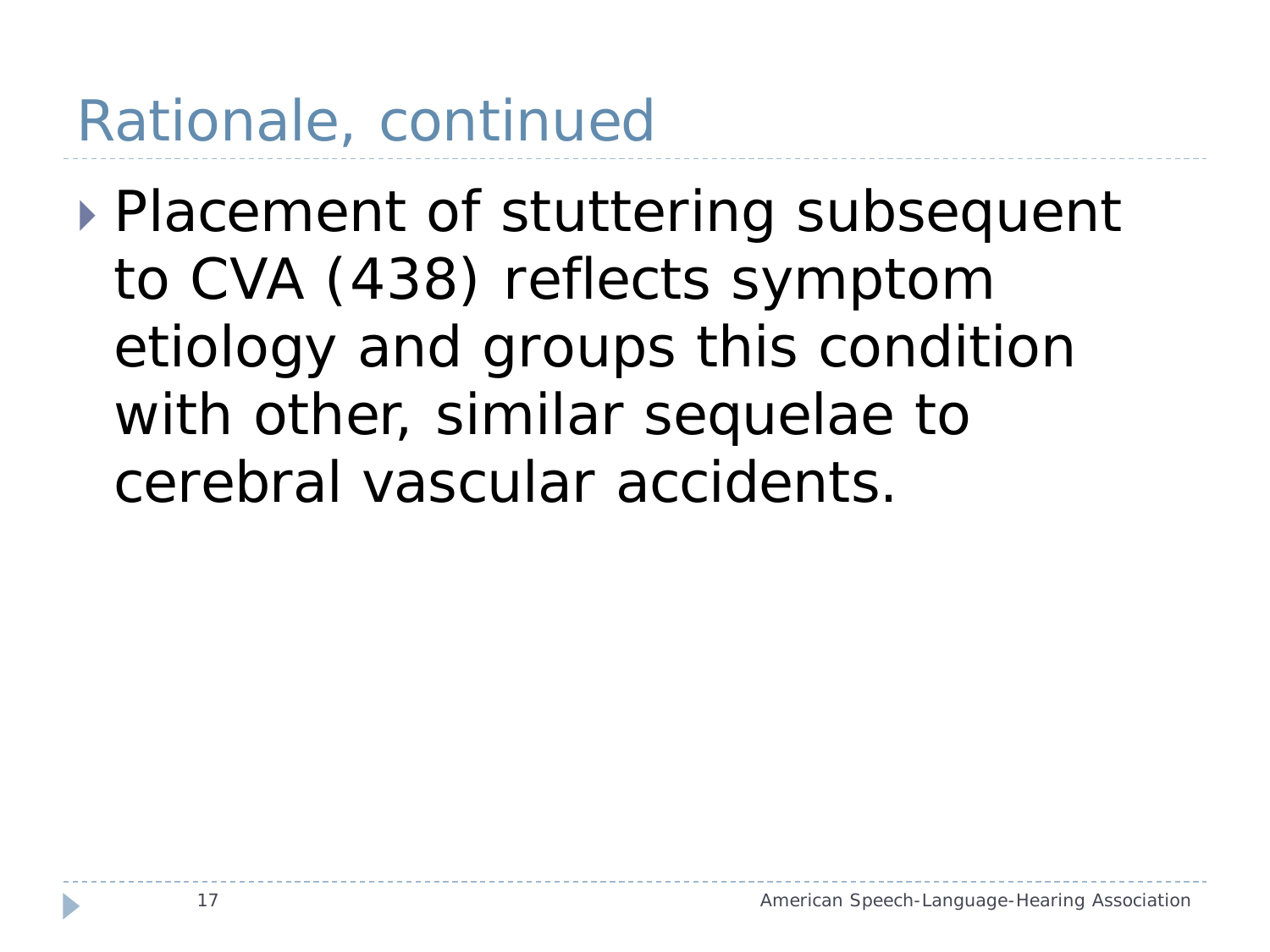## Rationale, continued

▶ Placement of stuttering subsequent to CVA (438) reflects symptom etiology and groups this condition with other, similar sequelae to cerebral vascular accidents.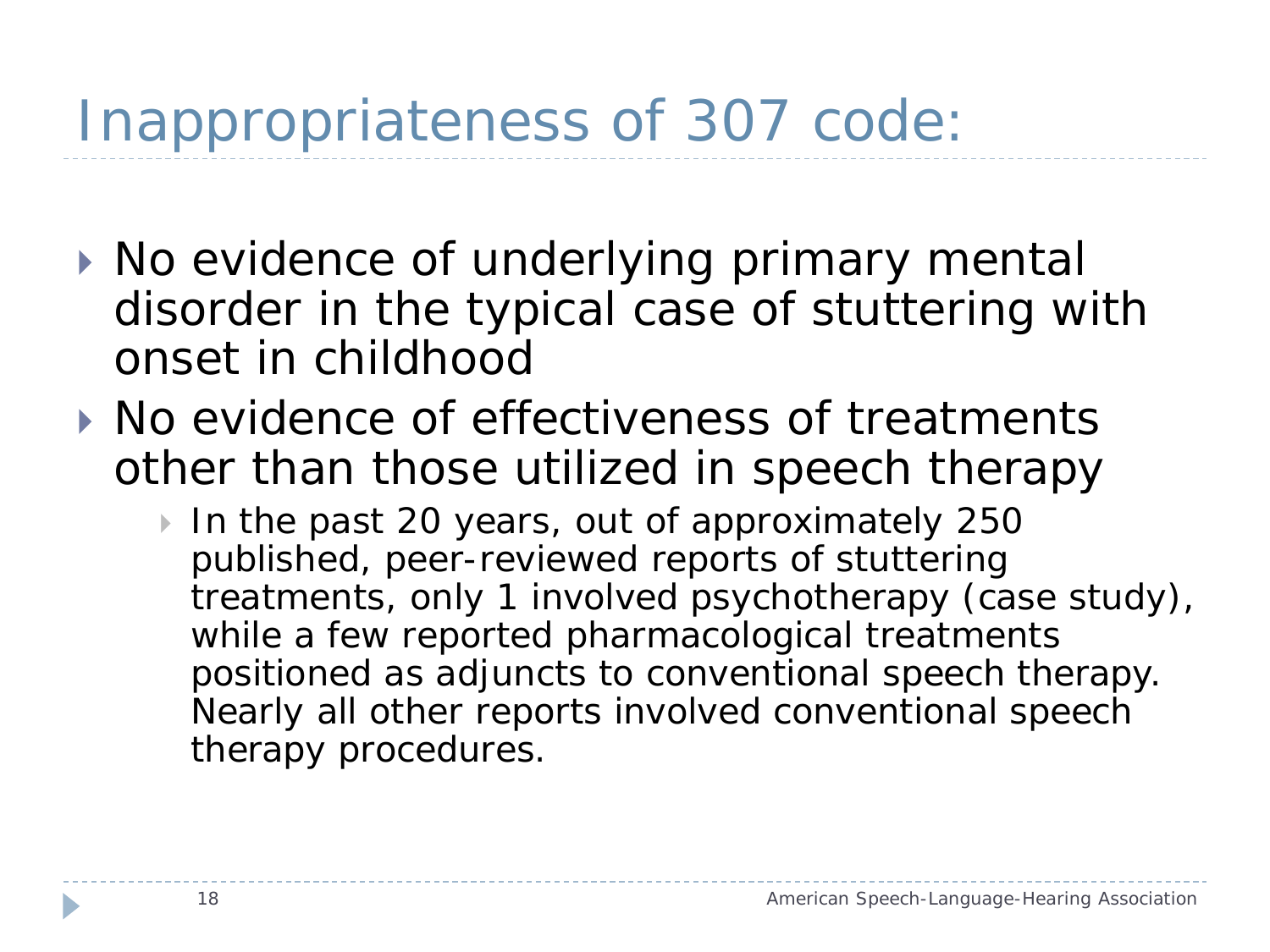- ▶ No evidence of underlying primary mental disorder in the typical case of stuttering with onset in childhood
- ▶ No evidence of effectiveness of treatments other than those utilized in speech therapy
	- In the past 20 years, out of approximately 250 published, peer-reviewed reports of stuttering treatments, only 1 involved psychotherapy (case study), while a few reported pharmacological treatments positioned as adjuncts to conventional speech therapy. Nearly all other reports involved conventional speech therapy procedures.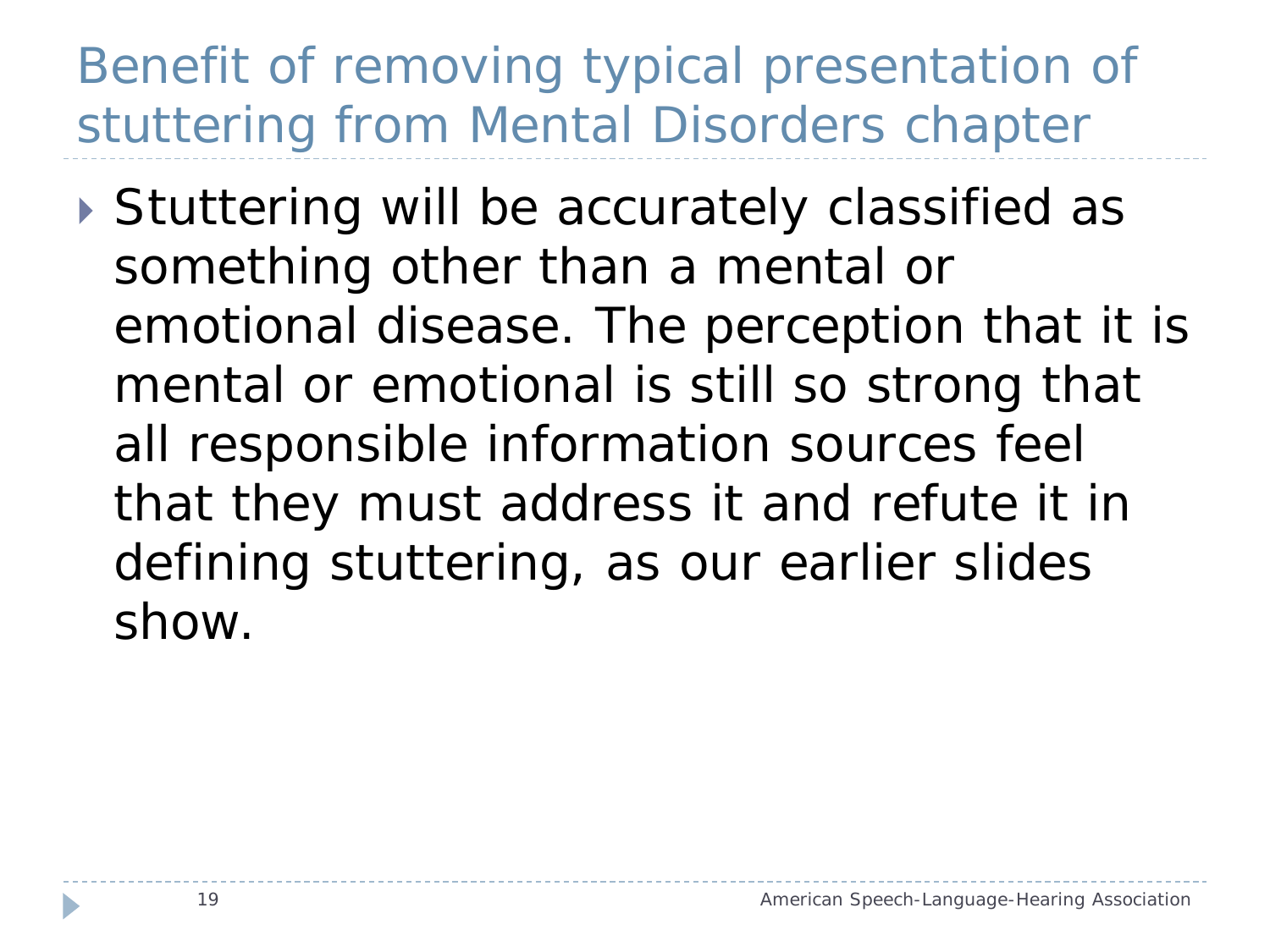#### Benefit of removing typical presentation of stuttering from Mental Disorders chapter

▶ Stuttering will be accurately classified as something other than a mental or emotional disease. The perception that it is mental or emotional is still so strong that all responsible information sources feel that they must address it and refute it in defining stuttering, as our earlier slides show.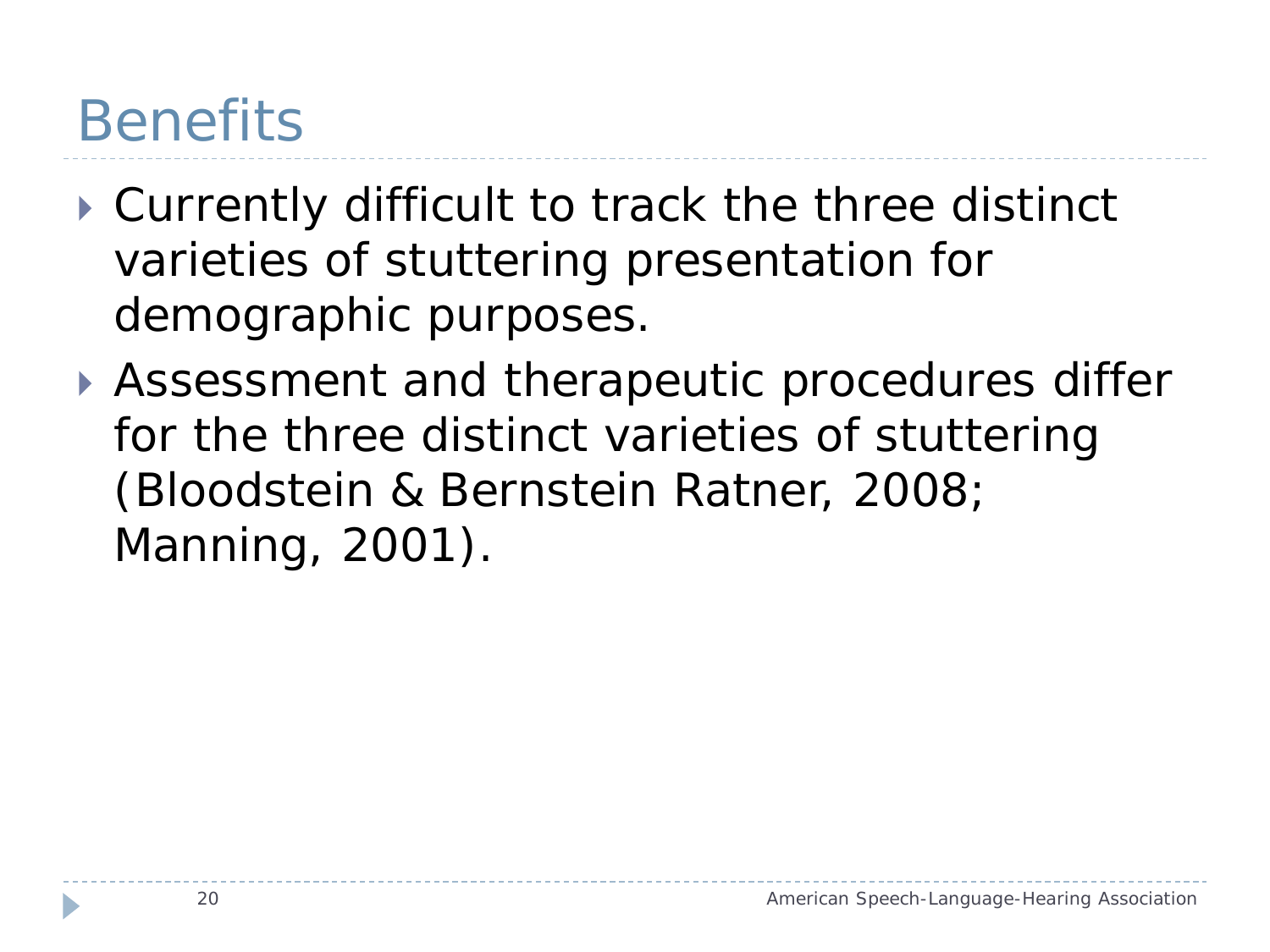#### **Benefits**

- Currently difficult to track the three distinct varieties of stuttering presentation for demographic purposes.
- Assessment and therapeutic procedures differ for the three distinct varieties of stuttering (Bloodstein & Bernstein Ratner, 2008; Manning, 2001).